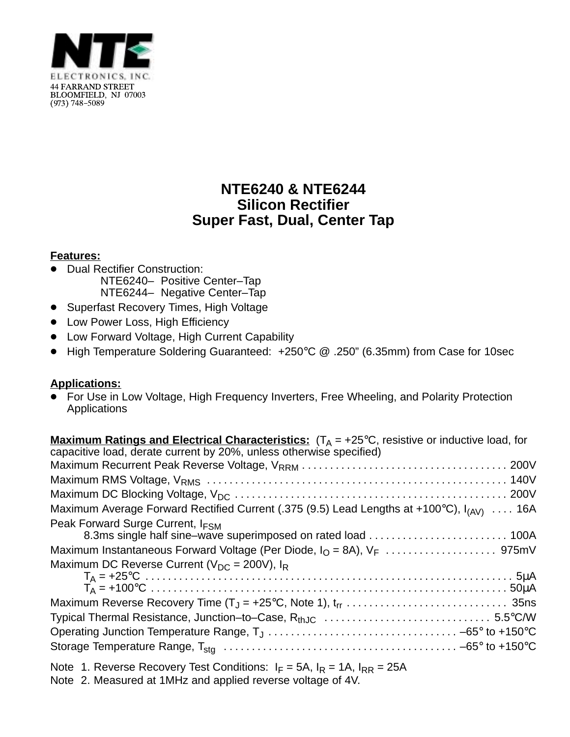

## **NTE6240 & NTE6244 Silicon Rectifier Super Fast, Dual, Center Tap**

## **Features:**

- **Dual Rectifier Construction:** NTE6240– Positive Center–Tap NTE6244– Negative Center–Tap
- **Superfast Recovery Times, High Voltage**
- Low Power Loss, High Efficiency
- Low Forward Voltage, High Current Capability
- High Temperature Soldering Guaranteed: +250°C @ .250" (6.35mm) from Case for 10sec

## **Applications:**

■ FORCERS TREET THE TOM VOLTAGE, High Frequency Inverters, Free Wheeling, and Polarity Protection Applications

| <b>Maximum Ratings and Electrical Characteristics:</b> $(T_A = +25^{\circ}C$ , resistive or inductive load, for |
|-----------------------------------------------------------------------------------------------------------------|
| capacitive load, derate current by 20%, unless otherwise specified)                                             |
|                                                                                                                 |
|                                                                                                                 |
|                                                                                                                 |
| Maximum Average Forward Rectified Current (.375 (9.5) Lead Lengths at +100°C), $I_{(AV)}$ 16A                   |
| Peak Forward Surge Current, I <sub>FSM</sub>                                                                    |
| 8.3ms single half sine-wave superimposed on rated load  100A                                                    |
|                                                                                                                 |
| Maximum DC Reverse Current ( $V_{DC}$ = 200V), $I_R$                                                            |
|                                                                                                                 |
|                                                                                                                 |
|                                                                                                                 |
|                                                                                                                 |
|                                                                                                                 |
|                                                                                                                 |

- Note 1. Reverse Recovery Test Conditions:  $I_F = 5A$ ,  $I_R = 1A$ ,  $I_{RR} = 25A$
- Note 2. Measured at 1MHz and applied reverse voltage of 4V.